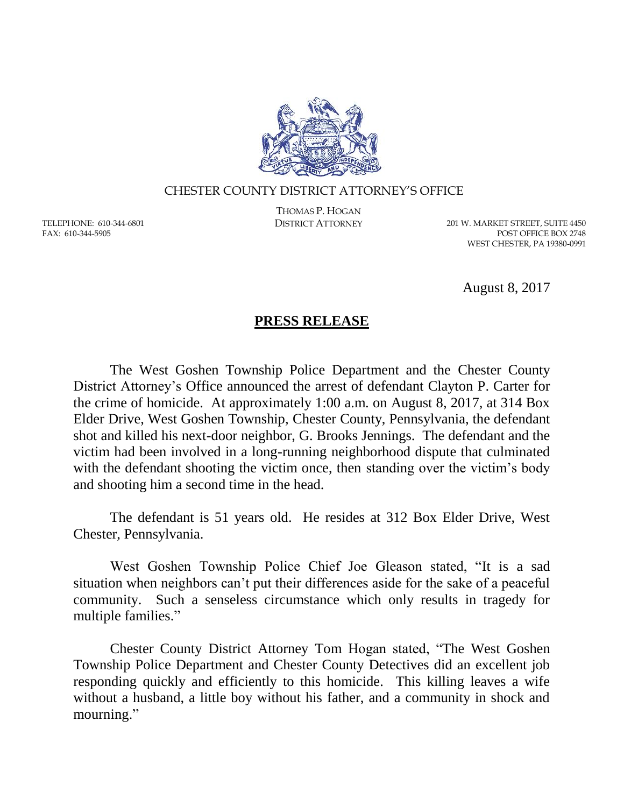

## CHESTER COUNTY DISTRICT ATTORNEY'S OFFICE

TELEPHONE: 610-344-6801 FAX: 610-344-5905

THOMAS P. HOGAN

DISTRICT ATTORNEY 201 W. MARKET STREET, SUITE 4450 POST OFFICE BOX 2748 WEST CHESTER, PA 19380-0991

August 8, 2017

## **PRESS RELEASE**

The West Goshen Township Police Department and the Chester County District Attorney's Office announced the arrest of defendant Clayton P. Carter for the crime of homicide. At approximately 1:00 a.m. on August 8, 2017, at 314 Box Elder Drive, West Goshen Township, Chester County, Pennsylvania, the defendant shot and killed his next-door neighbor, G. Brooks Jennings. The defendant and the victim had been involved in a long-running neighborhood dispute that culminated with the defendant shooting the victim once, then standing over the victim's body and shooting him a second time in the head.

The defendant is 51 years old. He resides at 312 Box Elder Drive, West Chester, Pennsylvania.

West Goshen Township Police Chief Joe Gleason stated, "It is a sad situation when neighbors can't put their differences aside for the sake of a peaceful community. Such a senseless circumstance which only results in tragedy for multiple families."

Chester County District Attorney Tom Hogan stated, "The West Goshen Township Police Department and Chester County Detectives did an excellent job responding quickly and efficiently to this homicide. This killing leaves a wife without a husband, a little boy without his father, and a community in shock and mourning."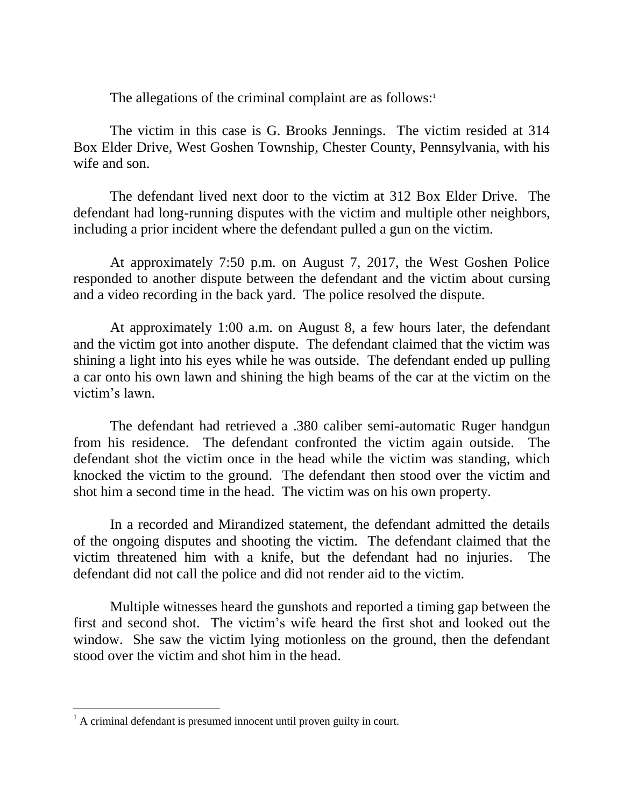The allegations of the criminal complaint are as follows:<sup>1</sup>

The victim in this case is G. Brooks Jennings. The victim resided at 314 Box Elder Drive, West Goshen Township, Chester County, Pennsylvania, with his wife and son.

The defendant lived next door to the victim at 312 Box Elder Drive. The defendant had long-running disputes with the victim and multiple other neighbors, including a prior incident where the defendant pulled a gun on the victim.

At approximately 7:50 p.m. on August 7, 2017, the West Goshen Police responded to another dispute between the defendant and the victim about cursing and a video recording in the back yard. The police resolved the dispute.

At approximately 1:00 a.m. on August 8, a few hours later, the defendant and the victim got into another dispute. The defendant claimed that the victim was shining a light into his eyes while he was outside. The defendant ended up pulling a car onto his own lawn and shining the high beams of the car at the victim on the victim's lawn.

The defendant had retrieved a .380 caliber semi-automatic Ruger handgun from his residence. The defendant confronted the victim again outside. The defendant shot the victim once in the head while the victim was standing, which knocked the victim to the ground. The defendant then stood over the victim and shot him a second time in the head. The victim was on his own property.

In a recorded and Mirandized statement, the defendant admitted the details of the ongoing disputes and shooting the victim. The defendant claimed that the victim threatened him with a knife, but the defendant had no injuries. The defendant did not call the police and did not render aid to the victim.

Multiple witnesses heard the gunshots and reported a timing gap between the first and second shot. The victim's wife heard the first shot and looked out the window. She saw the victim lying motionless on the ground, then the defendant stood over the victim and shot him in the head.

 $\overline{a}$ 

 $<sup>1</sup>$  A criminal defendant is presumed innocent until proven guilty in court.</sup>